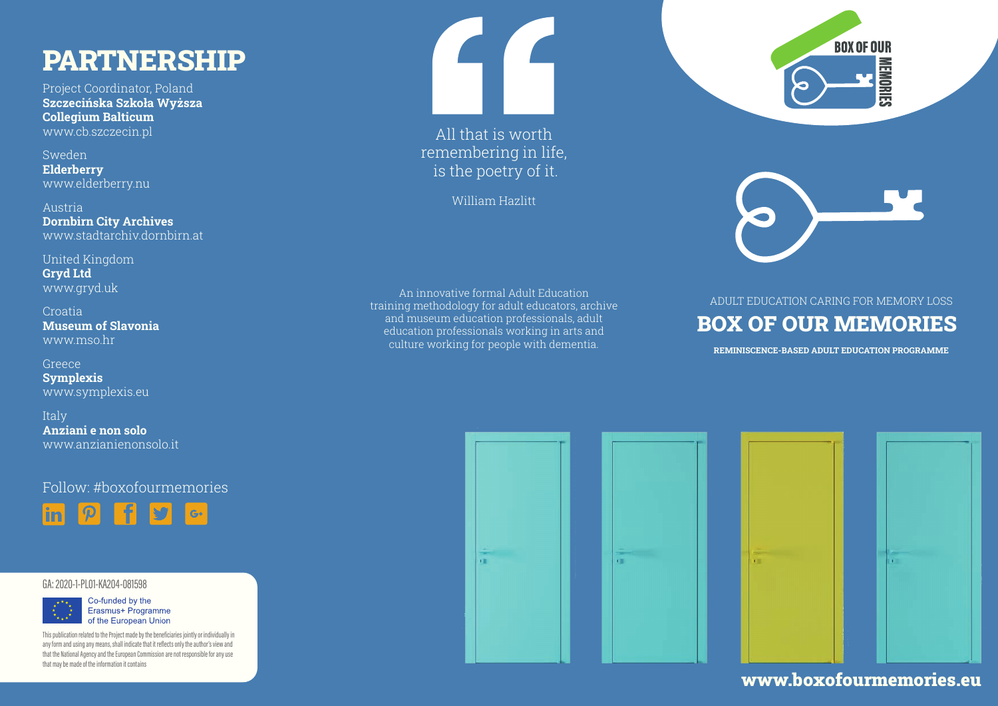# PARTNERSHIP

Project Coordinator, Poland Szczecińska Szkoła Wyższa Collegium Balticum www.cb.szczecin.pl

Sweden Elderberry www.elderberry.nu

Austria Dornbirn City Archives www.stadtarchiv.dornbirn.at

United Kingdom Gryd Ltd www.gryd.uk

Croatia Museum of Slavonia www.mso.hr

Greece **Symplexis** www.symplexis.eu

Italy Anziani e non solo www.anzianienonsolo.it

Follow: #boxofourmemories



#### GA: 2020-1-PL01-KA204-081598



This publication related to the Project made by the beneficiaries jointly or individually in any form and using any means, shall indicate that it reflects only the author's view and that the National Agency and the European Commission are not responsible for any use that may be made of the information it contains



All that is worth remembering in life, is the poetry of it.

William Hazlitt

An innovative formal Adult Education training methodology for adult educators, archive and museum education professionals, adult education professionals working in arts and culture working for people with dementia.



### BOX OF OUR MEMORIES ADULT EDUCATION CARING FOR MEMORY LOSS

REMINISCENCE-BASED ADULT EDUCATION PROGRAMME





### www.boxofourmemories.eu